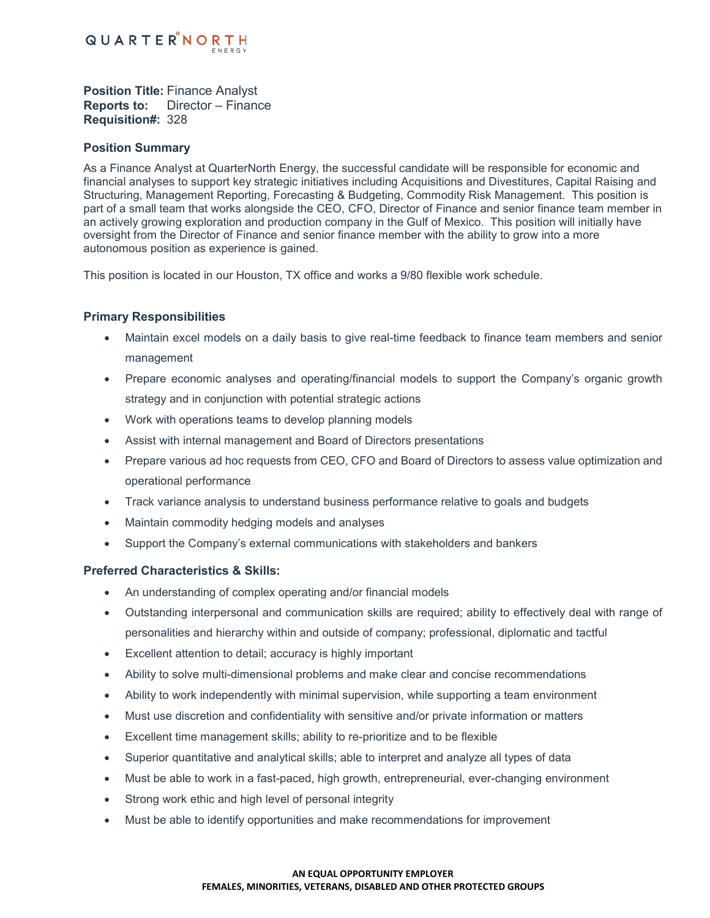

**Position Title:** Finance Analyst **Reports to:** Director – Finance **Requisition#:** 328

## **Position Summary**

As a Finance Analyst at QuarterNorth Energy, the successful candidate will be responsible for economic and financial analyses to support key strategic initiatives including Acquisitions and Divestitures, Capital Raising and Structuring, Management Reporting, Forecasting & Budgeting, Commodity Risk Management. This position is part of a small team that works alongside the CEO, CFO, Director of Finance and senior finance team member in an actively growing exploration and production company in the Gulf of Mexico. This position will initially have oversight from the Director of Finance and senior finance member with the ability to grow into a more autonomous position as experience is gained.

This position is located in our Houston, TX office and works a 9/80 flexible work schedule.

# **Primary Responsibilities**

- Maintain excel models on a daily basis to give real-time feedback to finance team members and senior management
- Prepare economic analyses and operating/financial models to support the Company's organic growth strategy and in conjunction with potential strategic actions
- Work with operations teams to develop planning models
- Assist with internal management and Board of Directors presentations
- Prepare various ad hoc requests from CEO, CFO and Board of Directors to assess value optimization and operational performance
- Track variance analysis to understand business performance relative to goals and budgets
- Maintain commodity hedging models and analyses
- Support the Company's external communications with stakeholders and bankers

## **Preferred Characteristics & Skills:**

- An understanding of complex operating and/or financial models
- Outstanding interpersonal and communication skills are required; ability to effectively deal with range of personalities and hierarchy within and outside of company; professional, diplomatic and tactful
- Excellent attention to detail; accuracy is highly important
- Ability to solve multi-dimensional problems and make clear and concise recommendations
- Ability to work independently with minimal supervision, while supporting a team environment
- Must use discretion and confidentiality with sensitive and/or private information or matters
- Excellent time management skills; ability to re-prioritize and to be flexible
- Superior quantitative and analytical skills; able to interpret and analyze all types of data
- Must be able to work in a fast-paced, high growth, entrepreneurial, ever-changing environment
- Strong work ethic and high level of personal integrity
- Must be able to identify opportunities and make recommendations for improvement

#### **AN EQUAL OPPORTUNITY EMPLOYER FEMALES, MINORITIES, VETERANS, DISABLED AND OTHER PROTECTED GROUPS**